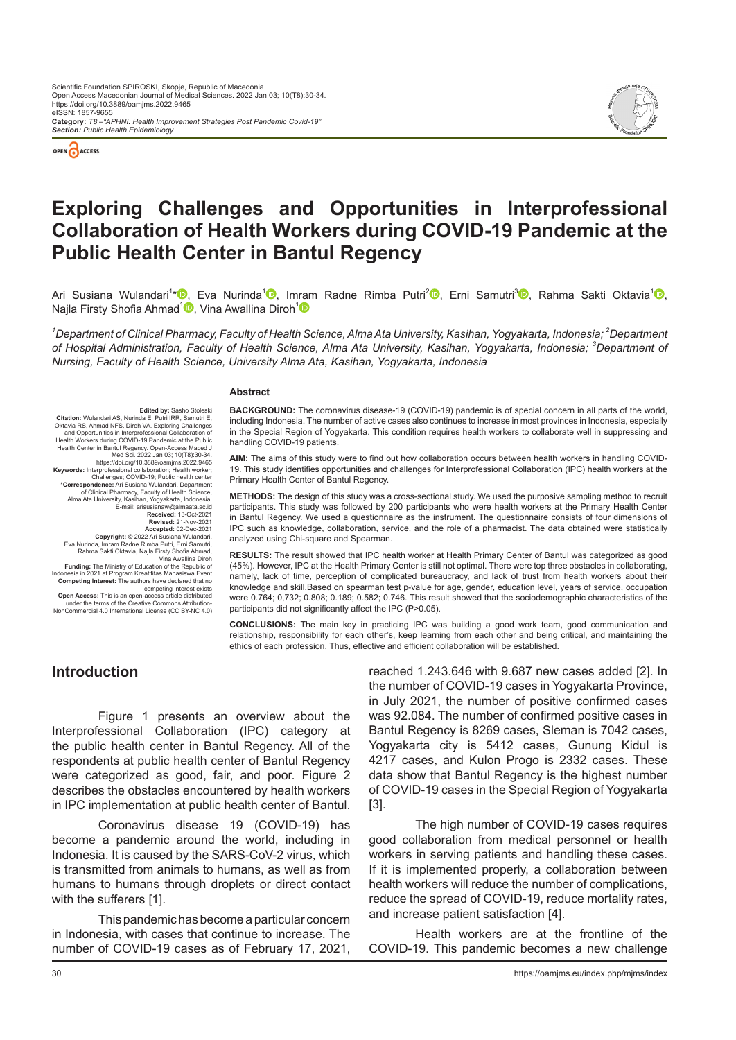



# **Exploring Challenges and Opportunities in Interprofessional Collaboration of Health Workers during COVID-19 Pandemic at the Public Health Center in Bantul Regency**

Ari Susiana Wulandari<sup>1</sup>[\\*](https://orcid.org/0000-0001-5391-8577)<sup>ID</sup>[,](https://orcid.org/0000-0002-1610-474X) Eva Nurinda<sup>1</sup>D, I[mram](https://orcid.org/0000-0002-2267-8950) Radne Rimba Putri<sup>2</sup>iD, Erni Samutri<sup>3</sup>iD, Rahma Sakti Oktavia<sup>1</sup>iD, Najla Firsty Shofia Ahmad<sup>1</sup><sup>0</sup>[,](https://orcid.org/0000-0001-8719-8387) Vina Awallina Diroh<sup>1</sup><sup>0</sup>

 $^{\prime}$ Department of Clinical Pharmacy, Faculty of Health Science, Alma Ata University, Kasihan, Yogyakarta, Indonesia; <sup>2</sup>Department *of Hospital Administration, Faculty of Health Science, Alma Ata University, Kasihan, Yogyakarta, Indonesia; <sup>3</sup> Department of Nursing, Faculty of Health Science, University Alma Ata, Kasihan, Yogyakarta, Indonesia*

#### **Abstract**

**Edited by:** Sasho Stoleski<br>Citation: Wulandari AS, Nurinda E, Putri IRR, Samutri E **Citation:** Wulandari AS, Nurinda E, Putri IRR, Samutri E, Oktavia RS, Ahmad NFS, Dirndary<br>and Opportunities in Interprofessional Collaboration of<br>and Opportunities in Interprofessional Collaboration of<br>Health Workers duri https://doi.org/10.3889/oamjms.2022.9465 **Keywords:** Interprofessional collaboration; Health worker; Challenges; COVID-19; Public health center **\*Correspondence:** Ari Susiana Wulandari, Department of Clinical Pharmacy, Faculty of Health Science, Alma Ata University, Kasihan, Yogyakarta, Indonesia. E-mail: arisusianaw@almaata.ac.id **Received:** 13-Oct-2021 **Revised:** 21-Nov-2021 **Accepted:** 02-Dec-2021<br>**Copyright:** © 2022 Ari Susiana Wulandari,<br>Eva Nurinda, Imram Radne Rimba Putri, Erni Samutri,<br>Rahma Sakti Oktavia, Najla Firsty Shofia Ahmad, Vina Awallina Diroh **Funding:** The Ministry of Education of the Republic of Indonesia in 2021 at Program Kreatifitas Mahasiswa Event **Competing Interest:** The authors have declared that no

competing interest exists<br>**Open Access:** This is an open-access article distribution-<br>under the terms of the Creative Commons Attribution-<br>NonCommercial 4.0 International License (CC BY-NC 4.0)

**BACKGROUND:** The coronavirus disease-19 (COVID-19) pandemic is of special concern in all parts of the world, including Indonesia. The number of active cases also continues to increase in most provinces in Indonesia, especially in the Special Region of Yogyakarta. This condition requires health workers to collaborate well in suppressing and handling COVID-19 patients.

**AIM:** The aims of this study were to find out how collaboration occurs between health workers in handling COVID-19. This study identifies opportunities and challenges for Interprofessional Collaboration (IPC) health workers at the Primary Health Center of Bantul Regency.

**METHODS:** The design of this study was a cross-sectional study. We used the purposive sampling method to recruit participants. This study was followed by 200 participants who were health workers at the Primary Health Center in Bantul Regency. We used a questionnaire as the instrument. The questionnaire consists of four dimensions of IPC such as knowledge, collaboration, service, and the role of a pharmacist. The data obtained were statistically analyzed using Chi-square and Spearman.

**RESULTS:** The result showed that IPC health worker at Health Primary Center of Bantul was categorized as good (45%). However, IPC at the Health Primary Center is still not optimal. There were top three obstacles in collaborating, namely, lack of time, perception of complicated bureaucracy, and lack of trust from health workers about their knowledge and skill.Based on spearman test p-value for age, gender, education level, years of service, occupation were 0.764; 0,732; 0.808; 0.189; 0.582; 0.746. This result showed that the sociodemographic characteristics of the participants did not significantly affect the IPC (P>0.05).

**CONCLUSIONS:** The main key in practicing IPC was building a good work team, good communication and relationship, responsibility for each other's, keep learning from each other and being critical, and maintaining the ethics of each profession. Thus, effective and efficient collaboration will be established.

# **Introduction**

Figure 1 presents an overview about the Interprofessional Collaboration (IPC) category at the public health center in Bantul Regency. All of the respondents at public health center of Bantul Regency were categorized as good, fair, and poor. Figure 2 describes the obstacles encountered by health workers in IPC implementation at public health center of Bantul.

Coronavirus disease 19 (COVID-19) has become a pandemic around the world, including in Indonesia. It is caused by the SARS-CoV-2 virus, which is transmitted from animals to humans, as well as from humans to humans through droplets or direct contact with the sufferers [1].

This pandemic has become a particular concern in Indonesia, with cases that continue to increase. The number of COVID-19 cases as of February 17, 2021, reached 1.243.646 with 9.687 new cases added [2]. In the number of COVID-19 cases in Yogyakarta Province, in July 2021, the number of positive confirmed cases was 92.084. The number of confirmed positive cases in Bantul Regency is 8269 cases, Sleman is 7042 cases, Yogyakarta city is 5412 cases, Gunung Kidul is 4217 cases, and Kulon Progo is 2332 cases. These data show that Bantul Regency is the highest number of COVID-19 cases in the Special Region of Yogyakarta [3].

The high number of COVID-19 cases requires good collaboration from medical personnel or health workers in serving patients and handling these cases. If it is implemented properly, a collaboration between health workers will reduce the number of complications, reduce the spread of COVID-19, reduce mortality rates, and increase patient satisfaction [4].

Health workers are at the frontline of the COVID-19. This pandemic becomes a new challenge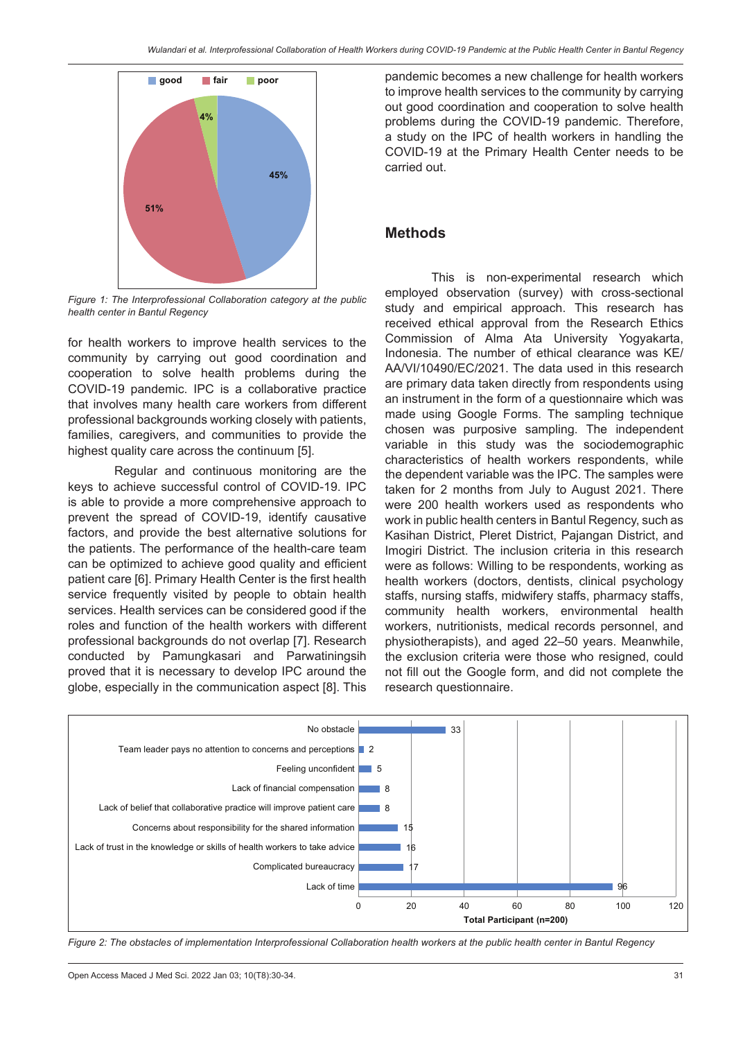

*Figure 1: The Interprofessional Collaboration category at the public health center in Bantul Regency*

for health workers to improve health services to the community by carrying out good coordination and cooperation to solve health problems during the COVID-19 pandemic. IPC is a collaborative practice that involves many health care workers from different professional backgrounds working closely with patients, families, caregivers, and communities to provide the highest quality care across the continuum [5].

Regular and continuous monitoring are the keys to achieve successful control of COVID-19. IPC is able to provide a more comprehensive approach to prevent the spread of COVID-19, identify causative factors, and provide the best alternative solutions for the patients. The performance of the health-care team can be optimized to achieve good quality and efficient patient care [6]. Primary Health Center is the first health service frequently visited by people to obtain health services. Health services can be considered good if the roles and function of the health workers with different professional backgrounds do not overlap [7]. Research conducted by Pamungkasari and Parwatiningsih proved that it is necessary to develop IPC around the globe, especially in the communication aspect [8]. This pandemic becomes a new challenge for health workers to improve health services to the community by carrying out good coordination and cooperation to solve health problems during the COVID-19 pandemic. Therefore, a study on the IPC of health workers in handling the COVID-19 at the Primary Health Center needs to be carried out.

#### **Methods**

This is non-experimental research which employed observation (survey) with cross-sectional study and empirical approach. This research has received ethical approval from the Research Ethics Commission of Alma Ata University Yogyakarta, Indonesia. The number of ethical clearance was KE/ AA/VI/10490/EC/2021. The data used in this research are primary data taken directly from respondents using an instrument in the form of a questionnaire which was made using Google Forms. The sampling technique chosen was purposive sampling. The independent variable in this study was the sociodemographic characteristics of health workers respondents, while the dependent variable was the IPC. The samples were taken for 2 months from July to August 2021. There were 200 health workers used as respondents who work in public health centers in Bantul Regency, such as Kasihan District, Pleret District, Pajangan District, and Imogiri District. The inclusion criteria in this research were as follows: Willing to be respondents, working as health workers (doctors, dentists, clinical psychology staffs, nursing staffs, midwifery staffs, pharmacy staffs, community health workers, environmental health workers, nutritionists, medical records personnel, and physiotherapists), and aged 22–50 years. Meanwhile, the exclusion criteria were those who resigned, could not fill out the Google form, and did not complete the research questionnaire.



*Figure 2: The obstacles of implementation Interprofessional Collaboration health workers at the public health center in Bantul Regency*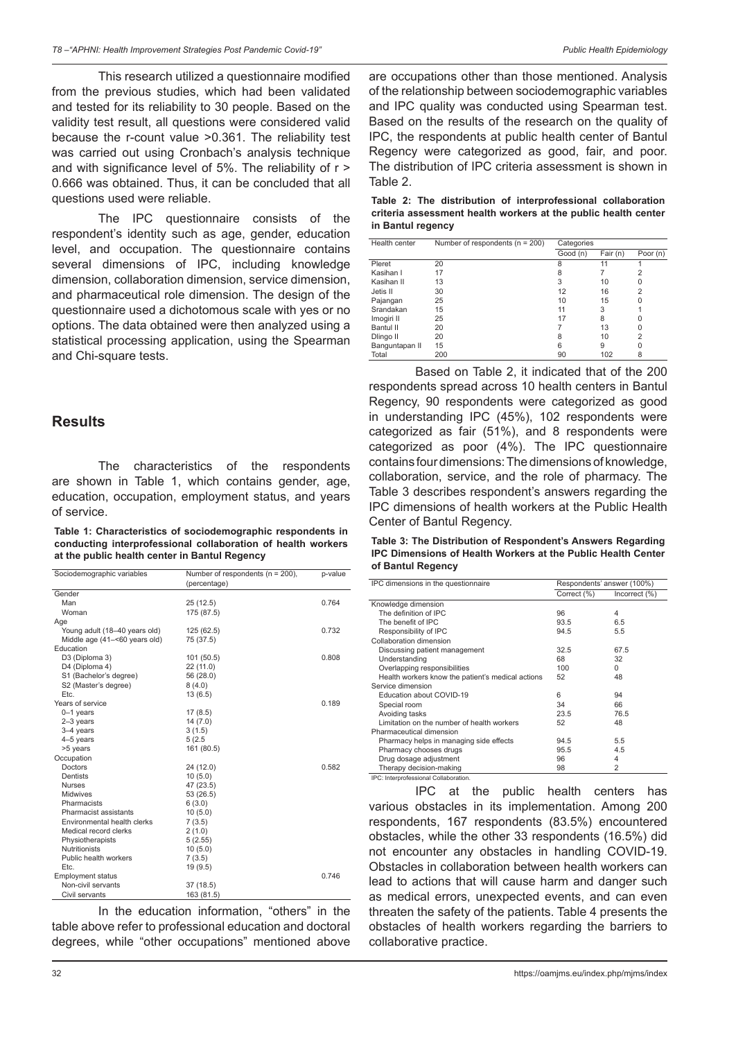This research utilized a questionnaire modified from the previous studies, which had been validated and tested for its reliability to 30 people. Based on the validity test result, all questions were considered valid because the r-count value >0.361. The reliability test was carried out using Cronbach's analysis technique and with significance level of 5%. The reliability of r > 0.666 was obtained. Thus, it can be concluded that all questions used were reliable.

The IPC questionnaire consists of the respondent's identity such as age, gender, education level, and occupation. The questionnaire contains several dimensions of IPC, including knowledge dimension, collaboration dimension, service dimension, and pharmaceutical role dimension. The design of the questionnaire used a dichotomous scale with yes or no options. The data obtained were then analyzed using a statistical processing application, using the Spearman and Chi-square tests.

### **Results**

The characteristics of the respondents are shown in Table 1, which contains gender, age, education, occupation, employment status, and years of service.

**Table 1: Characteristics of sociodemographic respondents in conducting interprofessional collaboration of health workers at the public health center in Bantul Regency**

| Sociodemographic variables    | Number of respondents ( $n = 200$ ),<br>(percentage) | p-value |
|-------------------------------|------------------------------------------------------|---------|
| Gender                        |                                                      |         |
| Man                           | 25 (12.5)                                            | 0.764   |
| Woman                         | 175 (87.5)                                           |         |
| Age                           |                                                      |         |
| Young adult (18-40 years old) | 125 (62.5)                                           | 0.732   |
| Middle age (41-<60 years old) | 75 (37.5)                                            |         |
| Education                     |                                                      |         |
| D3 (Diploma 3)                | 101 (50.5)                                           | 0.808   |
| D4 (Diploma 4)                | 22 (11.0)                                            |         |
| S1 (Bachelor's degree)        | 56 (28.0)                                            |         |
| S2 (Master's degree)          | 8(4.0)                                               |         |
| Etc.                          | 13 (6.5)                                             |         |
| Years of service              |                                                      | 0.189   |
| $0 - 1$ years                 | 17(8.5)                                              |         |
| 2-3 years                     | 14(7.0)                                              |         |
| 3-4 years                     | 3(1.5)                                               |         |
| 4-5 years                     | 5(2.5)                                               |         |
| >5 years                      | 161 (80.5)                                           |         |
| Occupation                    |                                                      |         |
| Doctors                       | 24 (12.0)                                            | 0.582   |
| Dentists                      | 10(5.0)                                              |         |
| <b>Nurses</b>                 | 47 (23.5)                                            |         |
| Midwives                      | 53 (26.5)                                            |         |
| Pharmacists                   | 6(3.0)                                               |         |
| Pharmacist assistants         | 10(5.0)                                              |         |
| Environmental health clerks   | 7(3.5)                                               |         |
| Medical record clerks         | 2(1.0)                                               |         |
| Physiotherapists              | 5(2.55)                                              |         |
| <b>Nutritionists</b>          | 10(5.0)                                              |         |
| Public health workers         | 7(3.5)                                               |         |
| Etc.                          | 19(9.5)                                              |         |
| <b>Employment status</b>      |                                                      | 0.746   |
| Non-civil servants            | 37 (18.5)                                            |         |
| Civil servants                | 163 (81.5)                                           |         |

In the education information, "others" in the table above refer to professional education and doctoral degrees, while "other occupations" mentioned above are occupations other than those mentioned. Analysis of the relationship between sociodemographic variables and IPC quality was conducted using Spearman test. Based on the results of the research on the quality of IPC, the respondents at public health center of Bantul Regency were categorized as good, fair, and poor. The distribution of IPC criteria assessment is shown in Table 2.

**Table 2: The distribution of interprofessional collaboration criteria assessment health workers at the public health center in Bantul regency**

| Health center  | Number of respondents ( $n = 200$ ) | Categories |          |                |
|----------------|-------------------------------------|------------|----------|----------------|
|                |                                     | Good (n)   | Fair (n) | Poor (n)       |
| Pleret         | 20                                  | 8          | 11       |                |
| Kasihan I      | 17                                  |            |          | 2              |
| Kasihan II     | 13                                  | 3          | 10       | O              |
| Jetis II       | 30                                  | 12         | 16       | 2              |
| Pajangan       | 25                                  | 10         | 15       |                |
| Srandakan      | 15                                  | 11         | 3        |                |
| Imogiri II     | 25                                  | 17         | 8        |                |
| Bantul II      | 20                                  |            | 13       | O              |
| Dlingo II      | 20                                  | 8          | 10       | $\overline{2}$ |
| Banguntapan II | 15                                  | 6          | 9        | U              |
| Total          | 200                                 | 90         | 102      | 8              |

Based on Table 2, it indicated that of the 200 respondents spread across 10 health centers in Bantul Regency, 90 respondents were categorized as good in understanding IPC (45%), 102 respondents were categorized as fair (51%), and 8 respondents were categorized as poor (4%). The IPC questionnaire contains four dimensions: The dimensions of knowledge, collaboration, service, and the role of pharmacy. The Table 3 describes respondent's answers regarding the IPC dimensions of health workers at the Public Health Center of Bantul Regency.

**Table 3: The Distribution of Respondent's Answers Regarding IPC Dimensions of Health Workers at the Public Health Center of Bantul Regency**

| IPC dimensions in the questionnaire               |             | Respondents' answer (100%) |
|---------------------------------------------------|-------------|----------------------------|
|                                                   | Correct (%) | Incorrect (%)              |
| Knowledge dimension                               |             |                            |
| The definition of IPC                             | 96          | 4                          |
| The benefit of IPC                                | 93.5        | 6.5                        |
| Responsibility of IPC                             | 94.5        | 5.5                        |
| Collaboration dimension                           |             |                            |
| Discussing patient management                     | 32.5        | 67.5                       |
| Understanding                                     | 68          | 32                         |
| Overlapping responsibilities                      | 100         | <sup>0</sup>               |
| Health workers know the patient's medical actions | 52          | 48                         |
| Service dimension                                 |             |                            |
| Education about COVID-19                          | 6           | 94                         |
| Special room                                      | 34          | 66                         |
| Avoiding tasks                                    | 23.5        | 76.5                       |
| Limitation on the number of health workers        | 52          | 48                         |
| Pharmaceutical dimension                          |             |                            |
| Pharmacy helps in managing side effects           | 94.5        | 5.5                        |
| Pharmacy chooses drugs                            | 95.5        | 4.5                        |
| Drug dosage adjustment                            | 96          | 4                          |
| Therapy decision-making                           | 98          | 2                          |

IPC at the public health centers has various obstacles in its implementation. Among 200 respondents, 167 respondents (83.5%) encountered obstacles, while the other 33 respondents (16.5%) did not encounter any obstacles in handling COVID-19. Obstacles in collaboration between health workers can lead to actions that will cause harm and danger such as medical errors, unexpected events, and can even threaten the safety of the patients. Table 4 presents the obstacles of health workers regarding the barriers to collaborative practice.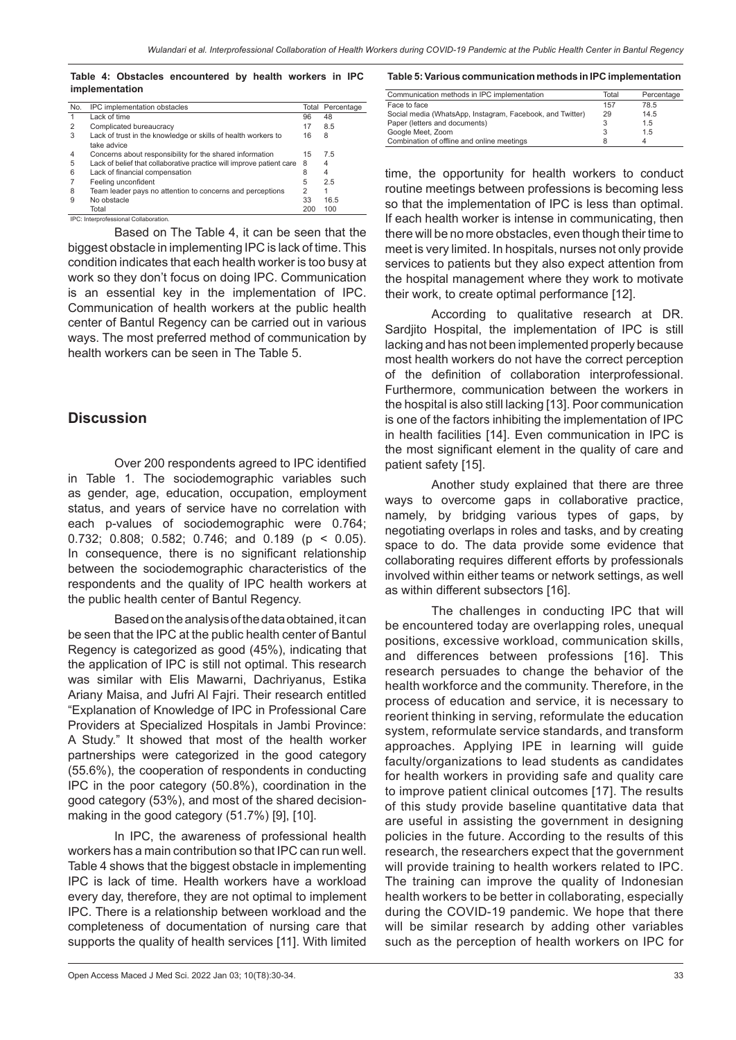**Table 4: Obstacles encountered by health workers in IPC implementation**

| No. | IPC implementation obstacles                                         |                | <b>Total Percentage</b> |
|-----|----------------------------------------------------------------------|----------------|-------------------------|
|     | Lack of time                                                         | 96             | 48                      |
| 2   | Complicated bureaucracy                                              | 17             | 8.5                     |
| 3   | Lack of trust in the knowledge or skills of health workers to        | 16             | 8                       |
|     | take advice                                                          |                |                         |
| 4   | Concerns about responsibility for the shared information             | 15             | 7.5                     |
| 5   | Lack of belief that collaborative practice will improve patient care | 8              | 4                       |
| 6   | Lack of financial compensation                                       | 8              | 4                       |
|     | Feeling unconfident                                                  | 5              | 2.5                     |
| 8   | Team leader pays no attention to concerns and perceptions            | $\overline{2}$ |                         |
| 9   | No obstacle                                                          | 33             | 16.5                    |
|     | Total                                                                | 200            | 100                     |
|     |                                                                      |                |                         |

IPC: Interprofessional Collaboration.

Based on The Table 4, it can be seen that the biggest obstacle in implementing IPC is lack of time. This condition indicates that each health worker is too busy at work so they don't focus on doing IPC. Communication is an essential key in the implementation of IPC. Communication of health workers at the public health center of Bantul Regency can be carried out in various ways. The most preferred method of communication by health workers can be seen in The Table 5.

#### **Discussion**

Over 200 respondents agreed to IPC identified in Table 1. The sociodemographic variables such as gender, age, education, occupation, employment status, and years of service have no correlation with each p-values of sociodemographic were 0.764; 0.732; 0.808; 0.582; 0.746; and 0.189 (p < 0.05). In consequence, there is no significant relationship between the sociodemographic characteristics of the respondents and the quality of IPC health workers at the public health center of Bantul Regency.

Based on the analysis of the data obtained, it can be seen that the IPC at the public health center of Bantul Regency is categorized as good (45%), indicating that the application of IPC is still not optimal. This research was similar with Elis Mawarni, Dachriyanus, Estika Ariany Maisa, and Jufri Al Fajri. Their research entitled "Explanation of Knowledge of IPC in Professional Care Providers at Specialized Hospitals in Jambi Province: A Study." It showed that most of the health worker partnerships were categorized in the good category (55.6%), the cooperation of respondents in conducting IPC in the poor category (50.8%), coordination in the good category (53%), and most of the shared decisionmaking in the good category (51.7%) [9], [10].

In IPC, the awareness of professional health workers has a main contribution so that IPC can run well. Table 4 shows that the biggest obstacle in implementing IPC is lack of time. Health workers have a workload every day, therefore, they are not optimal to implement IPC. There is a relationship between workload and the completeness of documentation of nursing care that supports the quality of health services [11]. With limited **Table 5: Various communication methods in IPC implementation**

| Communication methods in IPC implementation               | Total | Percentage |
|-----------------------------------------------------------|-------|------------|
| Face to face                                              | 157   | 78.5       |
| Social media (WhatsApp, Instagram, Facebook, and Twitter) | 29    | 14.5       |
| Paper (letters and documents)                             |       | 1.5        |
| Google Meet, Zoom                                         |       | 1.5        |
| Combination of offline and online meetings                |       |            |

time, the opportunity for health workers to conduct routine meetings between professions is becoming less so that the implementation of IPC is less than optimal. If each health worker is intense in communicating, then there will be no more obstacles, even though their time to meet is very limited. In hospitals, nurses not only provide services to patients but they also expect attention from the hospital management where they work to motivate their work, to create optimal performance [12].

According to qualitative research at DR. Sardjito Hospital, the implementation of IPC is still lacking and has not been implemented properly because most health workers do not have the correct perception of the definition of collaboration interprofessional. Furthermore, communication between the workers in the hospital is also still lacking [13]. Poor communication is one of the factors inhibiting the implementation of IPC in health facilities [14]. Even communication in IPC is the most significant element in the quality of care and patient safety [15].

Another study explained that there are three ways to overcome gaps in collaborative practice, namely, by bridging various types of gaps, by negotiating overlaps in roles and tasks, and by creating space to do. The data provide some evidence that collaborating requires different efforts by professionals involved within either teams or network settings, as well as within different subsectors [16].

The challenges in conducting IPC that will be encountered today are overlapping roles, unequal positions, excessive workload, communication skills, and differences between professions [16]. This research persuades to change the behavior of the health workforce and the community. Therefore, in the process of education and service, it is necessary to reorient thinking in serving, reformulate the education system, reformulate service standards, and transform approaches. Applying IPE in learning will guide faculty/organizations to lead students as candidates for health workers in providing safe and quality care to improve patient clinical outcomes [17]. The results of this study provide baseline quantitative data that are useful in assisting the government in designing policies in the future. According to the results of this research, the researchers expect that the government will provide training to health workers related to IPC. The training can improve the quality of Indonesian health workers to be better in collaborating, especially during the COVID-19 pandemic. We hope that there will be similar research by adding other variables such as the perception of health workers on IPC for